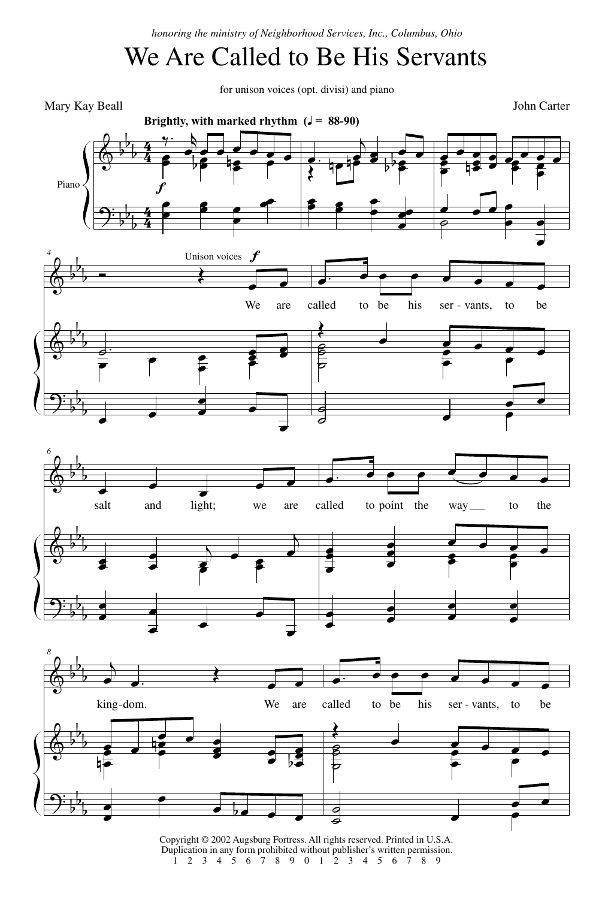*honoring the ministry of Neighborhood Services, Inc., Columbus, Ohio*

## We Are Called to Be His Servants

for unison voices (opt. divisi) and piano



Copyright © 2002 Augsburg Fortress. All rights reserved. Printed in U.S.A. Duplication in any form prohibited without publisher's written permission. 1 2 3 4 5 6 7 8 9 0 1 2 3 4 5 6 7 8 9